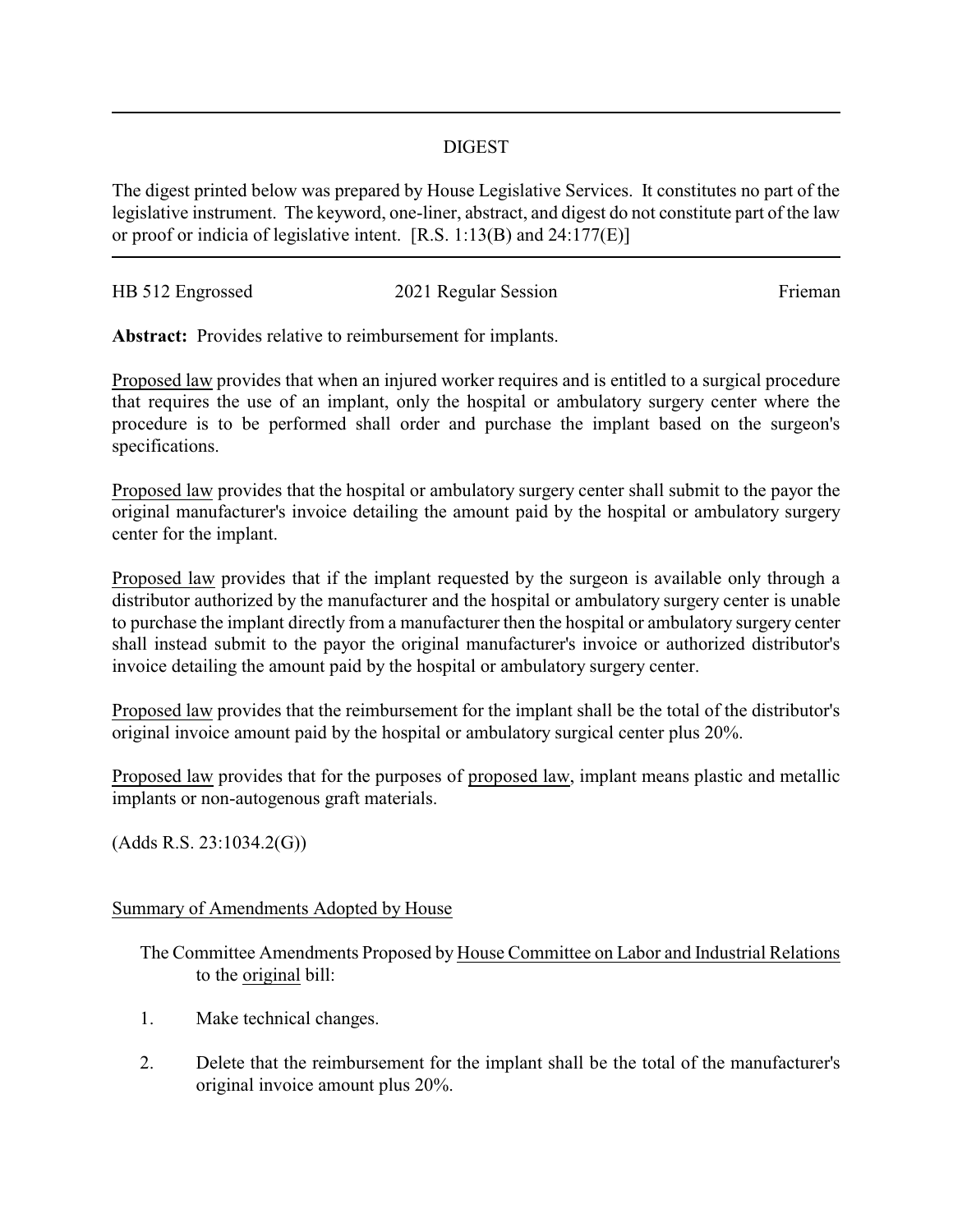## DIGEST

The digest printed below was prepared by House Legislative Services. It constitutes no part of the legislative instrument. The keyword, one-liner, abstract, and digest do not constitute part of the law or proof or indicia of legislative intent. [R.S. 1:13(B) and 24:177(E)]

| HB 512 Engrossed | 2021 Regular Session | Frieman |
|------------------|----------------------|---------|
|                  |                      |         |

**Abstract:** Provides relative to reimbursement for implants.

Proposed law provides that when an injured worker requires and is entitled to a surgical procedure that requires the use of an implant, only the hospital or ambulatory surgery center where the procedure is to be performed shall order and purchase the implant based on the surgeon's specifications.

Proposed law provides that the hospital or ambulatory surgery center shall submit to the payor the original manufacturer's invoice detailing the amount paid by the hospital or ambulatory surgery center for the implant.

Proposed law provides that if the implant requested by the surgeon is available only through a distributor authorized by the manufacturer and the hospital or ambulatory surgery center is unable to purchase the implant directly from a manufacturer then the hospital or ambulatory surgery center shall instead submit to the payor the original manufacturer's invoice or authorized distributor's invoice detailing the amount paid by the hospital or ambulatory surgery center.

Proposed law provides that the reimbursement for the implant shall be the total of the distributor's original invoice amount paid by the hospital or ambulatory surgical center plus 20%.

Proposed law provides that for the purposes of proposed law, implant means plastic and metallic implants or non-autogenous graft materials.

(Adds R.S. 23:1034.2(G))

## Summary of Amendments Adopted by House

The Committee Amendments Proposed by House Committee on Labor and Industrial Relations to the original bill:

- 1. Make technical changes.
- 2. Delete that the reimbursement for the implant shall be the total of the manufacturer's original invoice amount plus 20%.